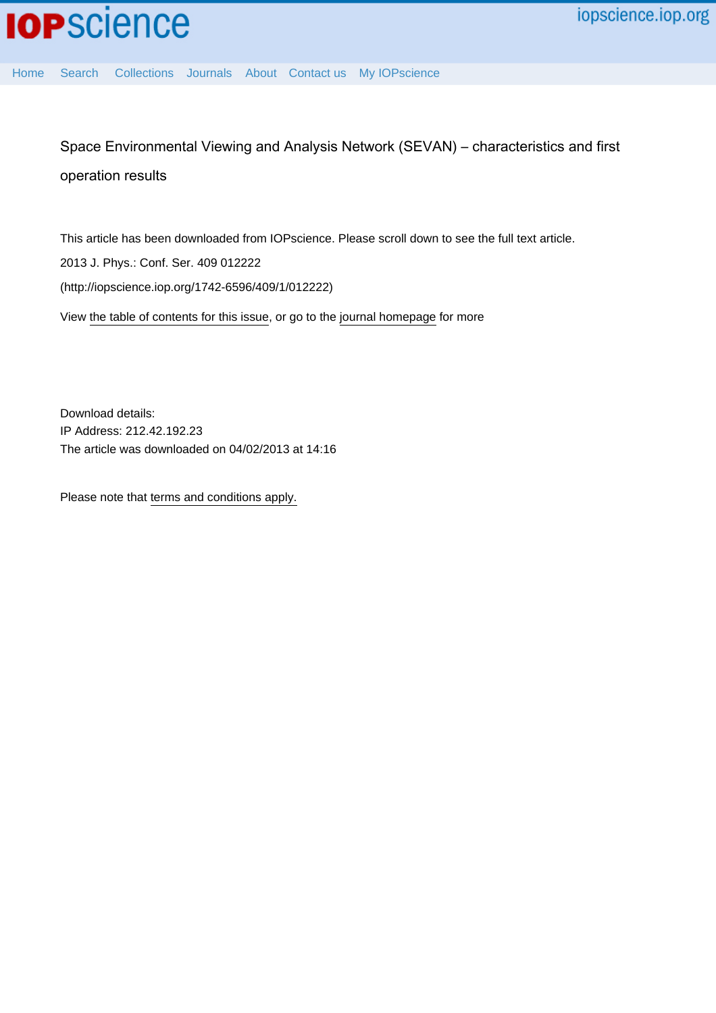Space Environmental Viewing and Analysis Network (SEVAN) – characteristics and first operation results

This article has been downloaded from IOPscience. Please scroll down to see the full text article. 2013 J. Phys.: Conf. Ser. 409 012222 (http://iopscience.iop.org/1742-6596/409/1/012222) View [the table of contents for this issue](http://iopscience.iop.org/1742-6596/409/1), or go to the [journal homepage](http://iopscience.iop.org/1742-6596) for more

Download details: IP Address: 212.42.192.23 The article was downloaded on 04/02/2013 at 14:16

Please note that [terms and conditions apply.](http://iopscience.iop.org/page/terms)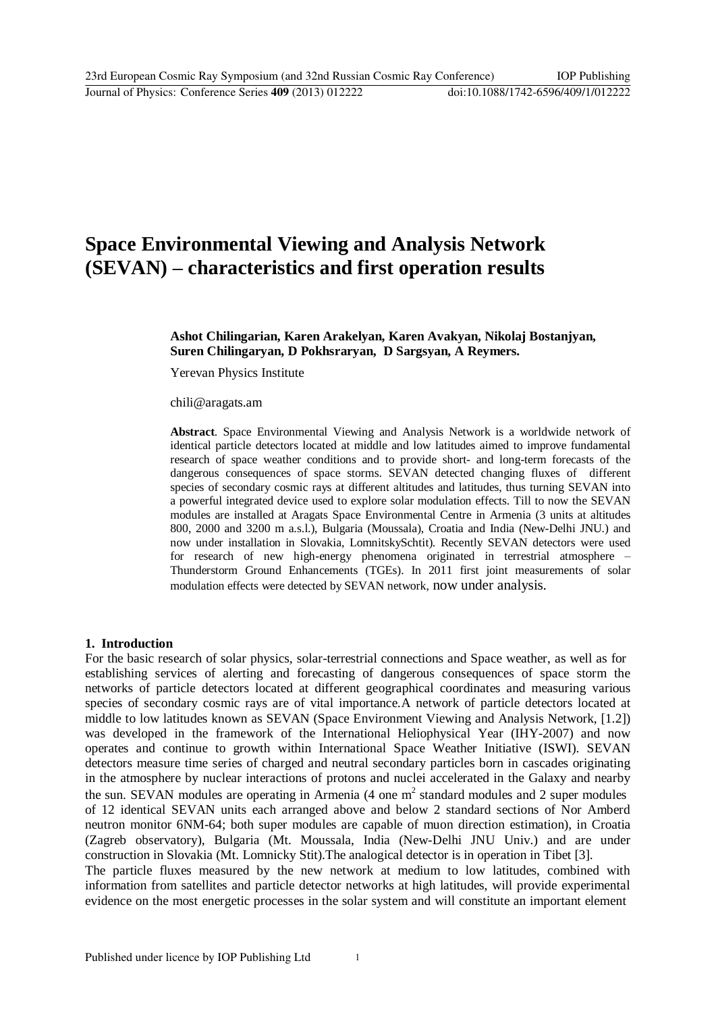# **Space Environmental Viewing and Analysis Network (SEVAN) – characteristics and first operation results**

## **Ashot Chilingarian, Karen Arakelyan, Karen Avakyan, Nikolaj Bostanjyan, Suren Chilingaryan, D Pokhsraryan, D Sargsyan, A Reymers.**

Yerevan Physics Institut[e](mailto:chili@aragats.am)

[chili@aragats.am](mailto:chili@aragats.am)

**Abstract**. Space Environmental Viewing and Analysis Network is a worldwide network of identical particle detectors located at middle and low latitudes aimed to improve fundamental research of space weather conditions and to provide short- and long-term forecasts of the dangerous consequences of space storms. SEVAN detected changing fluxes of different species of secondary cosmic rays at different altitudes and latitudes, thus turning SEVAN into a powerful integrated device used to explore solar modulation effects. Till to now the SEVAN modules are installed at Aragats Space Environmental Centre in Armenia (3 units at altitudes 800, 2000 and 3200 m a.s.l.), Bulgaria (Moussala), Croatia and India (New-Delhi JNU.) and now under installation in Slovakia, LomnitskySchtit). Recently SEVAN detectors were used for research of new high-energy phenomena originated in terrestrial atmosphere – Thunderstorm Ground Enhancements (TGEs). In 2011 first joint measurements of solar modulation effects were detected by SEVAN network, now under analysis.

#### **1. Introduction**

For the basic research of solar physics, solar-terrestrial connections and Space weather, as well as for establishing services of alerting and forecasting of dangerous consequences of space storm the networks of particle detectors located at different geographical coordinates and measuring various species of secondary cosmic rays are of vital importance.A network of particle detectors located at middle to low latitudes known as SEVAN (Space Environment Viewing and Analysis Network, [1.2]) was developed in the framework of the International Heliophysical Year (IHY-2007) and now operates and continue to growth within International Space Weather Initiative (ISWI). SEVAN detectors measure time series of charged and neutral secondary particles born in cascades originating in the atmosphere by nuclear interactions of protons and nuclei accelerated in the Galaxy and nearby the sun. SEVAN modules are operating in Armenia  $(4 \text{ one m}^2 \text{ standard modules and } 2 \text{ super modules})$ of 12 identical SEVAN units each arranged above and below 2 standard sections of Nor Amberd neutron monitor 6NM-64; both super modules are capable of muon direction estimation), in Croatia (Zagreb observatory), Bulgaria (Mt. Moussala, India (New-Delhi JNU Univ.) and are under construction in Slovakia (Mt. Lomnicky Stit).The analogical detector is in operation in Tibet [3]. The particle fluxes measured by the new network at medium to low latitudes, combined with information from satellites and particle detector networks at high latitudes, will provide experimental evidence on the most energetic processes in the solar system and will constitute an important element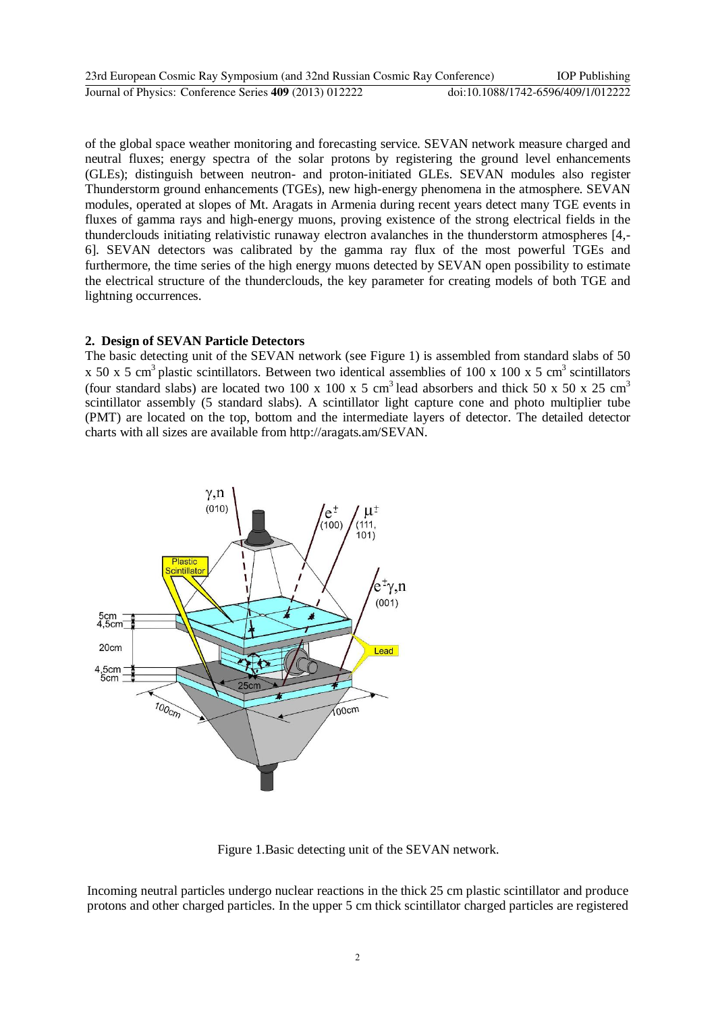| 23rd European Cosmic Ray Symposium (and 32nd Russian Cosmic Ray Conference) | <b>IOP</b> Publishing              |
|-----------------------------------------------------------------------------|------------------------------------|
| Journal of Physics: Conference Series 409 (2013) 012222                     | doi:10.1088/1742-6596/409/1/012222 |

of the global space weather monitoring and forecasting service. SEVAN network measure charged and neutral fluxes; energy spectra of the solar protons by registering the ground level enhancements (GLEs); distinguish between neutron- and proton-initiated GLEs. SEVAN modules also register Thunderstorm ground enhancements (TGEs), new high-energy phenomena in the atmosphere. SEVAN modules, operated at slopes of Mt. Aragats in Armenia during recent years detect many TGE events in fluxes of gamma rays and high-energy muons, proving existence of the strong electrical fields in the thunderclouds initiating relativistic runaway electron avalanches in the thunderstorm atmospheres [4,- 6]. SEVAN detectors was calibrated by the gamma ray flux of the most powerful TGEs and furthermore, the time series of the high energy muons detected by SEVAN open possibility to estimate the electrical structure of the thunderclouds, the key parameter for creating models of both TGE and lightning occurrences.

# **2. Design of SEVAN Particle Detectors**

The basic detecting unit of the SEVAN network (see Figure 1) is assembled from standard slabs of 50 x 50 x 5 cm<sup>3</sup> plastic scintillators. Between two identical assemblies of 100 x 100 x 5 cm<sup>3</sup> scintillators (four standard slabs) are located two 100 x 100 x 5 cm<sup>3</sup> lead absorbers and thick 50 x 50 x 25 cm<sup>3</sup> scintillator assembly (5 standard slabs). A scintillator light capture cone and photo multiplier tube (PMT) are located on the top, bottom and the intermediate layers of detector. The detailed detector charts with all sizes are available from [http://aragats.am/SEVAN.](http://aragats.am/SEVAN)



Figure 1.Basic detecting unit of the SEVAN network.

Incoming neutral particles undergo nuclear reactions in the thick 25 cm plastic scintillator and produce protons and other charged particles. In the upper 5 cm thick scintillator charged particles are registered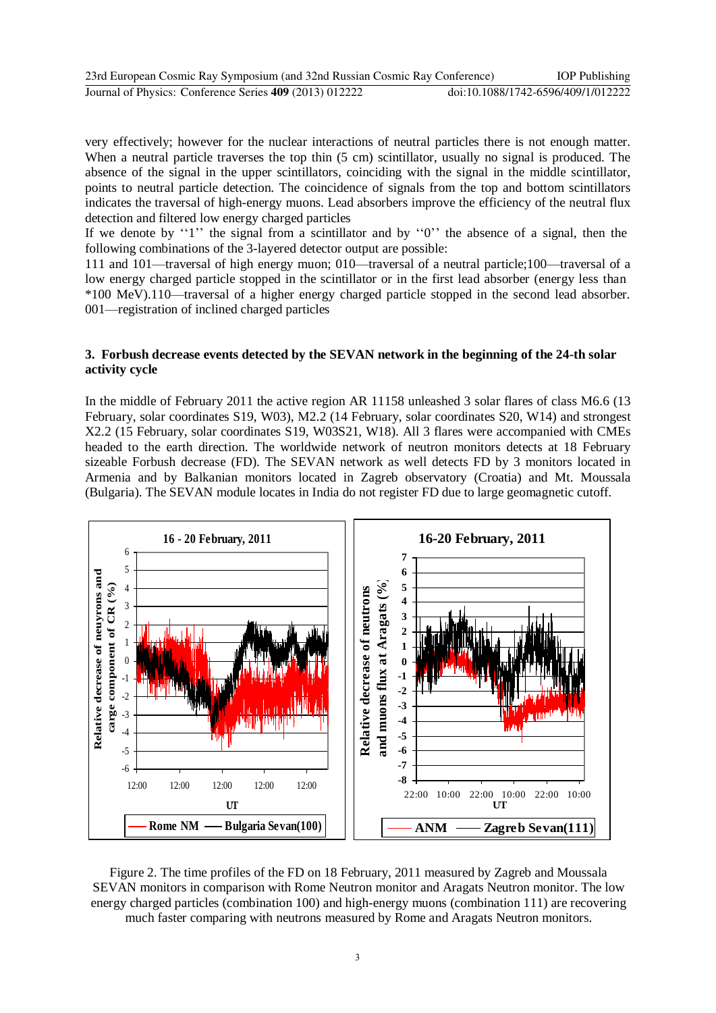| 23rd European Cosmic Ray Symposium (and 32nd Russian Cosmic Ray Conference) | <b>IOP</b> Publishing              |
|-----------------------------------------------------------------------------|------------------------------------|
| Journal of Physics: Conference Series 409 (2013) 012222                     | doi:10.1088/1742-6596/409/1/012222 |

very effectively; however for the nuclear interactions of neutral particles there is not enough matter. When a neutral particle traverses the top thin  $(5 \text{ cm})$  scintillator, usually no signal is produced. The absence of the signal in the upper scintillators, coinciding with the signal in the middle scintillator, points to neutral particle detection. The coincidence of signals from the top and bottom scintillators indicates the traversal of high-energy muons. Lead absorbers improve the efficiency of the neutral flux detection and filtered low energy charged particles

If we denote by  $'1'$  the signal from a scintillator and by  $'0'$  the absence of a signal, then the following combinations of the 3-layered detector output are possible:

111 and 101—traversal of high energy muon; 010—traversal of a neutral particle;100—traversal of a low energy charged particle stopped in the scintillator or in the first lead absorber (energy less than \*100 MeV).110—traversal of a higher energy charged particle stopped in the second lead absorber. 001—registration of inclined charged particles

## **3. Forbush decrease events detected by the SEVAN network in the beginning of the 24-th solar activity cycle**

In the middle of February 2011 the active region AR 11158 unleashed 3 solar flares of class М6.6 (13 February, solar coordinates S19, W03), М2.2 (14 February, solar coordinates S20, W14) and strongest X2.2 (15 February, solar coordinates S19, W03S21, W18). All 3 flares were accompanied with CMEs headed to the earth direction. The worldwide network of neutron monitors detects at 18 February sizeable Forbush decrease (FD). The SEVAN network as well detects FD by 3 monitors located in Armenia and by Balkanian monitors located in Zagreb observatory (Croatia) and Mt. Moussala (Bulgaria). The SEVAN module locates in India do not register FD due to large geomagnetic cutoff.



Figure 2. The time profiles of the FD on 18 February, 2011 measured by Zagreb and Moussala SEVAN monitors in comparison with Rome Neutron monitor and Aragats Neutron monitor. The low energy charged particles (combination 100) and high-energy muons (combination 111) are recovering much faster comparing with neutrons measured by Rome and Aragats Neutron monitors.